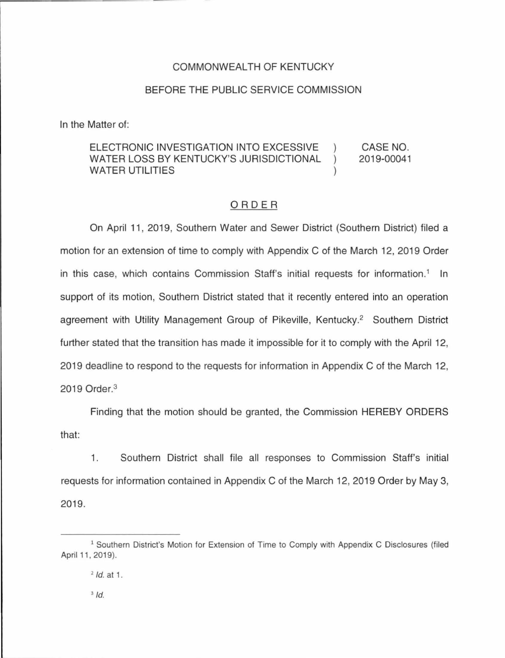### COMMONWEALTH OF KENTUCKY

### BEFORE THE PUBLIC SERVICE COMMISSION

In the Matter of:

#### ELECTRONIC INVESTIGATION INTO EXCESSIVE ) WATER LOSS BY KENTUCKY'S JURISDICTIONAL ) WATER UTILITIES CASE NO. 2019-00041

## ORDER

On April 11 , 2019, Southern Water and Sewer District (Southern District) filed a motion for an extension of time to comply with Appendix C of the March 12, 2019 Order in this case, which contains Commission Staff's initial requests for information.<sup>1</sup> In support of its motion, Southern District stated that it recently entered into an operation agreement with Utility Management Group of Pikeville, Kentucky.<sup>2</sup> Southern District further stated that the transition has made it impossible for it to comply with the April 12, 2019 deadline to respond to the requests for information in Appendix C of the March 12, 2019 Order. <sup>3</sup>

Finding that the motion should be granted, the Commission HEREBY ORDERS that:

1. Southern District shall file all responses to Commission Staff's initial requests for information contained in Appendix C of the March 12, 2019 Order by May 3, 2019.

 $2$  *ld.* at 1.

<sup>&</sup>lt;sup>1</sup> Southern District's Motion for Extension of Time to Comply with Appendix C Disclosures (filed April 11, 2019).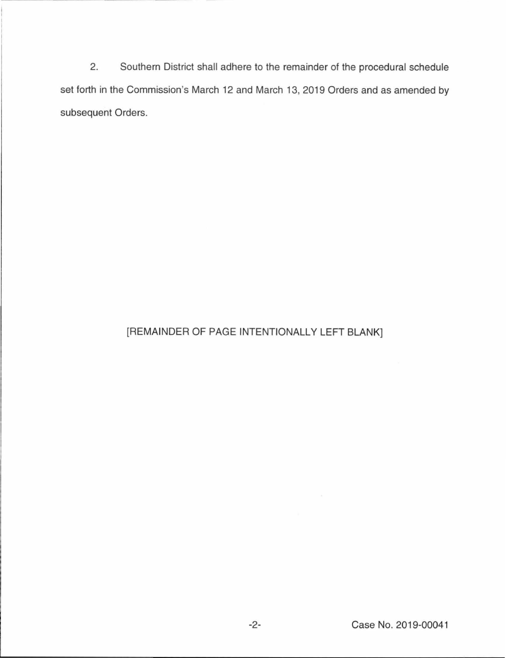2. Southern District shall adhere to the remainder of the procedural schedule set forth in the Commission's March 12 and March 13, 2019 Orders and as amended by subsequent Orders.

# [REMAINDER OF PAGE INTENTIONALLY LEFT BLANK]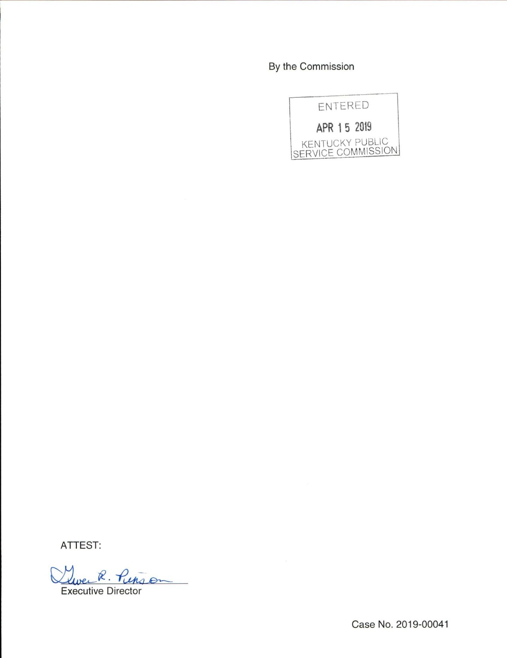By the Commission



ATTEST:

 $R. H$  $1.6$ 

Executive Director

Case No. 2019-00041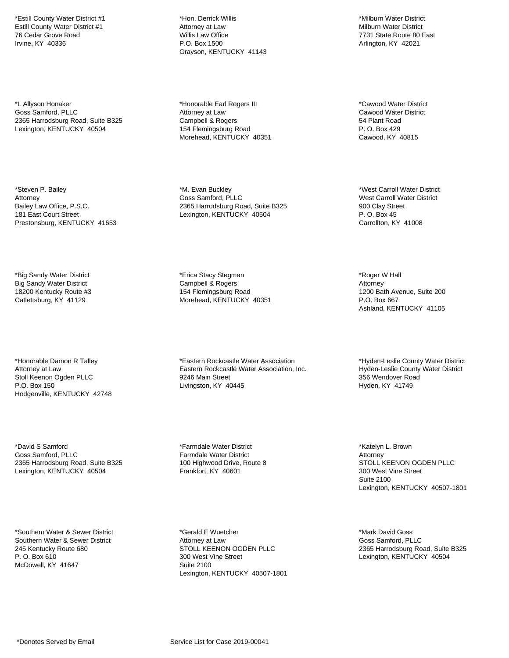\*Estill County Water District #1 Estill County Water District #1 76 Cedar Grove Road Irvine, KY 40336

\*L Allyson Honaker Goss Samford, PLLC 2365 Harrodsburg Road, Suite B325 Lexington, KENTUCKY 40504

\*Steven P. Bailey Attorney Bailey Law Office, P.S.C. 181 East Court Street Prestonsburg, KENTUCKY 41653

\*Big Sandy Water District Big Sandy Water District 18200 Kentucky Route #3 Catlettsburg, KY 41129

\*Honorable Damon R Talley Attorney at Law Stoll Keenon Ogden PLLC P.O. Box 150 Hodgenville, KENTUCKY 42748

\*David S Samford Goss Samford, PLLC 2365 Harrodsburg Road, Suite B325 Lexington, KENTUCKY 40504

\*Southern Water & Sewer District Southern Water & Sewer District 245 Kentucky Route 680 P. O. Box 610 McDowell, KY 41647

\*Hon. Derrick Willis Attorney at Law Willis Law Office P.O. Box 1500 Grayson, KENTUCKY 41143

\*Honorable Earl Rogers III Attorney at Law Campbell & Rogers 154 Flemingsburg Road Morehead, KENTUCKY 40351

\*M. Evan Buckley Goss Samford, PLLC 2365 Harrodsburg Road, Suite B325 Lexington, KENTUCKY 40504

\*Erica Stacy Stegman Campbell & Rogers 154 Flemingsburg Road Morehead, KENTUCKY 40351

\*Eastern Rockcastle Water Association Eastern Rockcastle Water Association, Inc. 9246 Main Street Livingston, KY 40445

\*Farmdale Water District Farmdale Water District 100 Highwood Drive, Route 8 Frankfort, KY 40601

\*Gerald E Wuetcher Attorney at Law STOLL KEENON OGDEN PLLC 300 West Vine Street Suite 2100 Lexington, KENTUCKY 40507-1801

\*Milburn Water District Milburn Water District 7731 State Route 80 East Arlington, KY 42021

\*Cawood Water District Cawood Water District 54 Plant Road P. O. Box 429 Cawood, KY 40815

\*West Carroll Water District West Carroll Water District 900 Clay Street P. O. Box 45 Carrollton, KY 41008

\*Roger W Hall Attorney 1200 Bath Avenue, Suite 200 P.O. Box 667 Ashland, KENTUCKY 41105

\*Hyden-Leslie County Water District Hyden-Leslie County Water District 356 Wendover Road Hyden, KY 41749

\*Katelyn L. Brown Attorney STOLL KEENON OGDEN PLLC 300 West Vine Street Suite 2100 Lexington, KENTUCKY 40507-1801

\*Mark David Goss Goss Samford, PLLC 2365 Harrodsburg Road, Suite B325 Lexington, KENTUCKY 40504